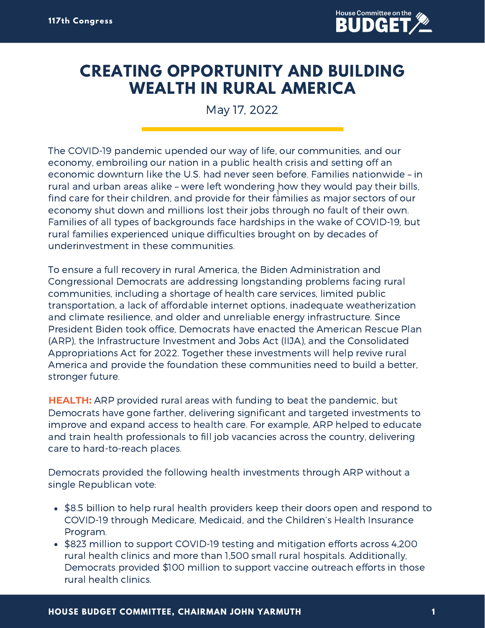

## **CREATING OPPORTUNITY AND BUILDING WEALTH IN RURAL AMERICA**

May 17, 2022

The COVID-19 pandemic upended our way of life, our communities, and our economy, embroiling our nation in a public health crisis and setting off an economic downturn like the U.S. had never seen before. Families nationwide – in rural and urban areas alike – were left wondering how they would pay their bills, 1find care for their children, and provide for their families as major sectors of our economy shut down and millions lost their jobs through no fault of their own. Families of all types of backgrounds face hardships in the wake of COVID-19, but rural families experienced unique difficulties brought on by decades of underinvestment in these communities.

To ensure a full recovery in rural America, the Biden Administration and Congressional Democrats are addressing longstanding problems facing rural communities, including a shortage of health care services, limited public transportation, a lack of affordable internet options, inadequate weatherization and climate resilience, and older and unreliable energy infrastructure. Since President Biden took office, Democrats have enacted the American Rescue Plan (ARP), the Infrastructure Investment and Jobs Act (IIJA), and the Consolidated Appropriations Act for 2022. Together these investments will help revive rural America and provide the foundation these communities need to build a better, stronger future.

**HEALTH:** ARP provided rural areas with funding to beat the pandemic, but Democrats have gone farther, delivering significant and targeted investments to improve and expand access to health care. For example, ARP helped to educate and train health professionals to fill job vacancies across the country, delivering care to hard-to-reach places.

Democrats provided the following health investments through ARP without a single Republican vote:

- \$8.5 billion to help rural health providers keep their doors open and respond to COVID-19 through Medicare, Medicaid, and the Children's Health Insurance Program.
- \$823 million to support COVID-19 testing and mitigation efforts across 4,200 rural health clinics and more than 1,500 small rural hospitals. Additionally, Democrats provided \$100 million to support vaccine outreach efforts in those rural health clinics.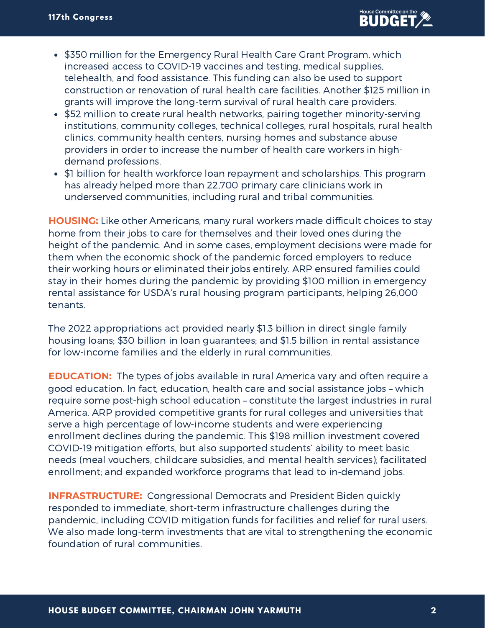- \$350 million for the Emergency Rural Health Care Grant Program, which increased access to COVID-19 vaccines and testing, medical supplies, telehealth, and food assistance. This funding can also be used to support construction or renovation of rural health care facilities. Another \$125 million in grants will improve the long-term survival of rural health care providers.
- \$52 million to create rural health networks, pairing together minority-serving institutions, community colleges, technical colleges, rural hospitals, rural health clinics, community health centers, nursing homes and substance abuse providers in order to increase the number of health care workers in highdemand professions.
- \$1 billion for health workforce loan repayment and scholarships. This program has already helped more than 22,700 primary care clinicians work in underserved communities, including rural and tribal communities.

**HOUSING:** Like other Americans, many rural workers made difficult choices to stay home from their jobs to care for themselves and their loved ones during the height of the pandemic. And in some cases, employment decisions were made for them when the economic shock of the pandemic forced employers to reduce their working hours or eliminated their jobs entirely. ARP ensured families could stay in their homes during the pandemic by providing \$100 million in emergency rental assistance for USDA's rural housing program participants, helping 26,000 tenants.

The 2022 appropriations act provided nearly \$1.3 billion in direct single family housing loans; \$30 billion in loan guarantees; and \$1.5 billion in rental assistance for low-income families and the elderly in rural communities.

**EDUCATION:** The types of jobs available in rural America vary and often require a good education. In fact, education, health care and social assistance jobs – which require some post-high school education – constitute the largest industries in rural America. ARP provided competitive grants for rural colleges and universities that serve a high percentage of low-income students and were experiencing enrollment declines during the pandemic. This \$198 million investment covered COVID-19 mitigation efforts, but also supported students' ability to meet basic needs (meal vouchers, childcare subsidies, and mental health services); facilitated enrollment; and expanded workforce programs that lead to in-demand jobs.

**INFRASTRUCTURE:** Congressional Democrats and President Biden quickly responded to immediate, short-term infrastructure challenges during the pandemic, including COVID mitigation funds for facilities and relief for rural users. We also made long-term investments that are vital to strengthening the economic foundation of rural communities.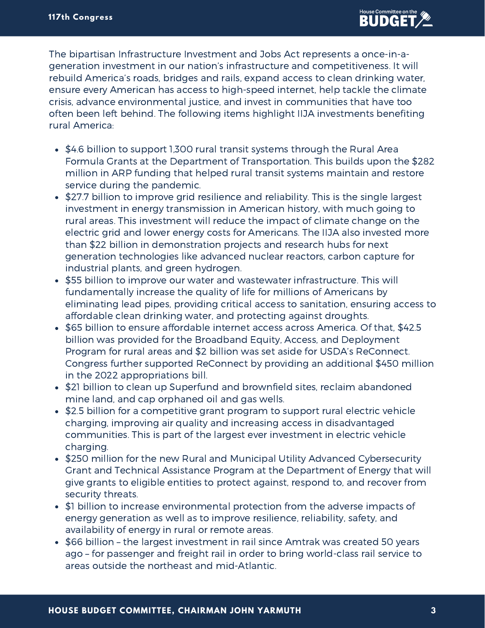The bipartisan Infrastructure Investment and Jobs Act represents a once-in-ageneration investment in our nation's infrastructure and competitiveness. It will rebuild America's roads, bridges and rails, expand access to clean drinking water, ensure every American has access to high-speed internet, help tackle the climate crisis, advance environmental justice, and invest in communities that have too often been left behind. The following items highlight IIJA investments benefiting rural America:

- \$4.6 billion to support 1,300 rural transit systems through the Rural Area Formula Grants at the Department of Transportation. This builds upon the \$282 million in ARP funding that helped rural transit systems maintain and restore service during the pandemic.
- \$27.7 billion to improve grid resilience and reliability. This is the single largest investment in energy transmission in American history, with much going to rural areas. This investment will reduce the impact of climate change on the electric grid and lower energy costs for Americans. The IIJA also invested more than \$22 billion in demonstration projects and research hubs for next generation technologies like advanced nuclear reactors, carbon capture for industrial plants, and green hydrogen.
- \$55 billion to improve our water and wastewater infrastructure. This will fundamentally increase the quality of life for millions of Americans by eliminating lead pipes, providing critical access to sanitation, ensuring access to affordable clean drinking water, and protecting against droughts.
- \$65 billion to ensure affordable internet access across America. Of that, \$42.5 billion was provided for the Broadband Equity, Access, and Deployment Program for rural areas and \$2 billion was set aside for USDA's ReConnect. Congress further supported ReConnect by providing an additional \$450 million in the 2022 appropriations bill.
- \$21 billion to clean up Superfund and brownfield sites, reclaim abandoned mine land, and cap orphaned oil and gas wells.
- \$2.5 billion for a competitive grant program to support rural electric vehicle charging, improving air quality and increasing access in disadvantaged communities. This is part of the largest ever investment in electric vehicle charging.
- \$250 million for the new Rural and Municipal Utility Advanced Cybersecurity Grant and Technical Assistance Program at the Department of Energy that will give grants to eligible entities to protect against, respond to, and recover from security threats.
- \$1 billion to increase environmental protection from the adverse impacts of energy generation as well as to improve resilience, reliability, safety, and availability of energy in rural or remote areas.
- \$66 billion the largest investment in rail since Amtrak was created 50 years ago – for passenger and freight rail in order to bring world-class rail service to areas outside the northeast and mid-Atlantic.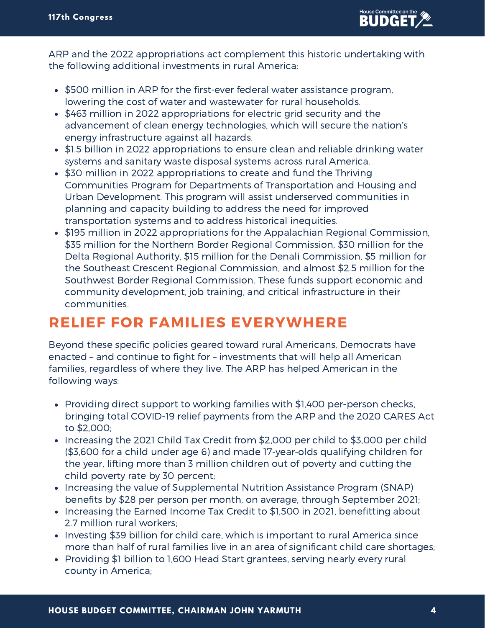

ARP and the 2022 appropriations act complement this historic undertaking with the following additional investments in rural America:

- \$500 million in ARP for the first-ever federal water assistance program, lowering the cost of water and wastewater for rural households.
- \$463 million in 2022 appropriations for electric grid security and the advancement of clean energy technologies, which will secure the nation's energy infrastructure against all hazards.
- \$1.5 billion in 2022 appropriations to ensure clean and reliable drinking water systems and sanitary waste disposal systems across rural America.
- \$30 million in 2022 appropriations to create and fund the Thriving Communities Program for Departments of Transportation and Housing and Urban Development. This program will assist underserved communities in planning and capacity building to address the need for improved transportation systems and to address historical inequities.
- \$195 million in 2022 appropriations for the Appalachian Regional Commission, \$35 million for the Northern Border Regional Commission, \$30 million for the Delta Regional Authority, \$15 million for the Denali Commission, \$5 million for the Southeast Crescent Regional Commission, and almost \$2.5 million for the Southwest Border Regional Commission. These funds support economic and community development, job training, and critical infrastructure in their communities.

## **RELIEF FOR FAMILIES EVERYWHERE**

Beyond these specific policies geared toward rural Americans, Democrats have enacted – and continue to fight for – investments that will help all American families, regardless of where they live. The ARP has helped American in the following ways:

- Providing direct support to working families with \$1,400 per-person checks, bringing total COVID-19 relief payments from the ARP and the 2020 CARES Act to \$2,000;
- Increasing the 2021 Child Tax Credit from \$2,000 per child to \$3,000 per child (\$3,600 for a child under age 6) and made 17-year-olds qualifying children for the year, lifting more than 3 million children out of poverty and cutting the child poverty rate by 30 percent;
- Increasing the value of Supplemental Nutrition Assistance Program (SNAP) benefits by \$28 per person per month, on average, through September 2021;
- Increasing the Earned Income Tax Credit to \$1,500 in 2021, benefitting about 2.7 million rural workers;
- Investing \$39 billion for child care, which is important to rural America since more than half of rural families live in an area of significant child care shortages;
- Providing \$1 billion to 1,600 Head Start grantees, serving nearly every rural county in America;